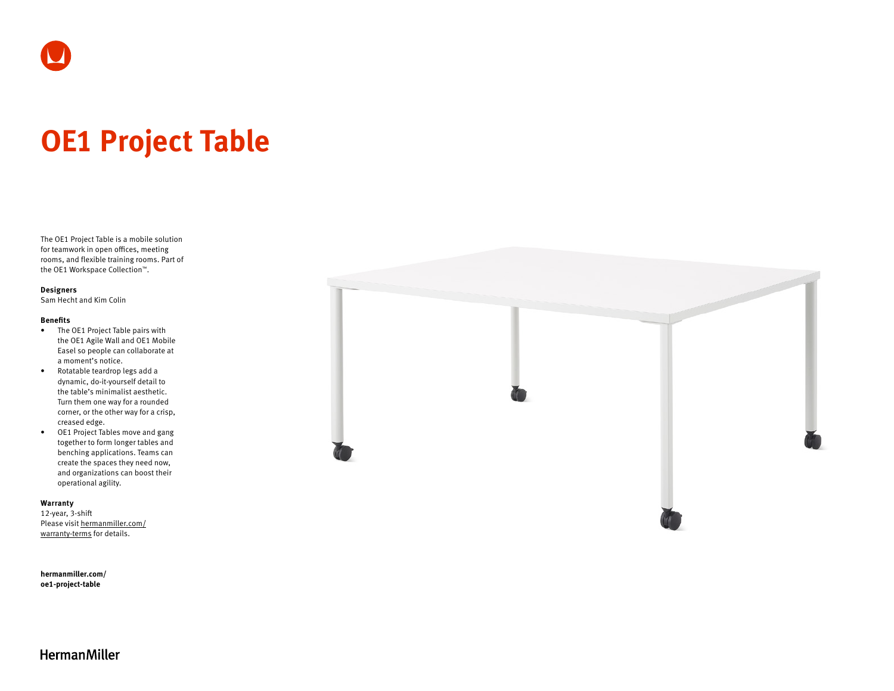# **OE1 Project Table**

The OE1 Project Table is a mobile solution for teamwork in open offices, meeting rooms, and flexible training rooms. Part of the OE1 Workspace Collection™.

#### **Designers**

Sam Hecht and Kim Colin

#### **Benefits**

- The OE1 Project Table pairs with the OE1 Agile Wall and OE1 Mobile Easel so people can collaborate at a moment's notice.
- Rotatable teardrop legs add a dynamic, do-it-yourself detail to the table's minimalist aesthetic. Turn them one way for a rounded corner, or the other way for a crisp, creased edge.
- OE1 Project Tables move and gang together to form longer tables and benching applications. Teams can create the spaces they need now, and organizations can boost their operational agility.

#### **Warranty**

12-year, 3-shift Please visit [hermanmiller.com/](https://hermanmiller.com/warranty-terms) [warranty-terms](https://hermanmiller.com/warranty-terms) for details.

**[hermanmiller.com/](https://hermanmiller.com/oe1-project-table) [oe1-p](https://hermanmiller.com/oe1-project-table)roject-table**



## **HermanMiller**